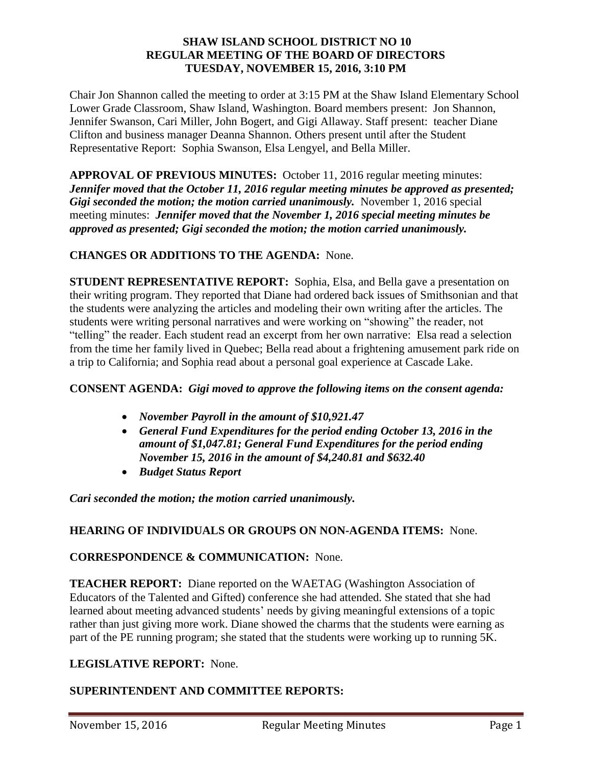#### **SHAW ISLAND SCHOOL DISTRICT NO 10 REGULAR MEETING OF THE BOARD OF DIRECTORS TUESDAY, NOVEMBER 15, 2016, 3:10 PM**

Chair Jon Shannon called the meeting to order at 3:15 PM at the Shaw Island Elementary School Lower Grade Classroom, Shaw Island, Washington. Board members present: Jon Shannon, Jennifer Swanson, Cari Miller, John Bogert, and Gigi Allaway. Staff present: teacher Diane Clifton and business manager Deanna Shannon. Others present until after the Student Representative Report: Sophia Swanson, Elsa Lengyel, and Bella Miller.

**APPROVAL OF PREVIOUS MINUTES:** October 11, 2016 regular meeting minutes: *Jennifer moved that the October 11, 2016 regular meeting minutes be approved as presented; Gigi seconded the motion; the motion carried unanimously.* November 1, 2016 special meeting minutes: *Jennifer moved that the November 1, 2016 special meeting minutes be approved as presented; Gigi seconded the motion; the motion carried unanimously.* 

# **CHANGES OR ADDITIONS TO THE AGENDA:** None.

**STUDENT REPRESENTATIVE REPORT:** Sophia, Elsa, and Bella gave a presentation on their writing program. They reported that Diane had ordered back issues of Smithsonian and that the students were analyzing the articles and modeling their own writing after the articles. The students were writing personal narratives and were working on "showing" the reader, not "telling" the reader. Each student read an excerpt from her own narrative: Elsa read a selection from the time her family lived in Quebec; Bella read about a frightening amusement park ride on a trip to California; and Sophia read about a personal goal experience at Cascade Lake.

### **CONSENT AGENDA:** *Gigi moved to approve the following items on the consent agenda:*

- *November Payroll in the amount of \$10,921.47*
- *General Fund Expenditures for the period ending October 13, 2016 in the amount of \$1,047.81; General Fund Expenditures for the period ending November 15, 2016 in the amount of \$4,240.81 and \$632.40*
- *Budget Status Report*

*Cari seconded the motion; the motion carried unanimously.* 

### **HEARING OF INDIVIDUALS OR GROUPS ON NON-AGENDA ITEMS:** None.

### **CORRESPONDENCE & COMMUNICATION:** None.

**TEACHER REPORT:** Diane reported on the WAETAG (Washington Association of Educators of the Talented and Gifted) conference she had attended. She stated that she had learned about meeting advanced students' needs by giving meaningful extensions of a topic rather than just giving more work. Diane showed the charms that the students were earning as part of the PE running program; she stated that the students were working up to running 5K.

### **LEGISLATIVE REPORT:** None.

# **SUPERINTENDENT AND COMMITTEE REPORTS:**